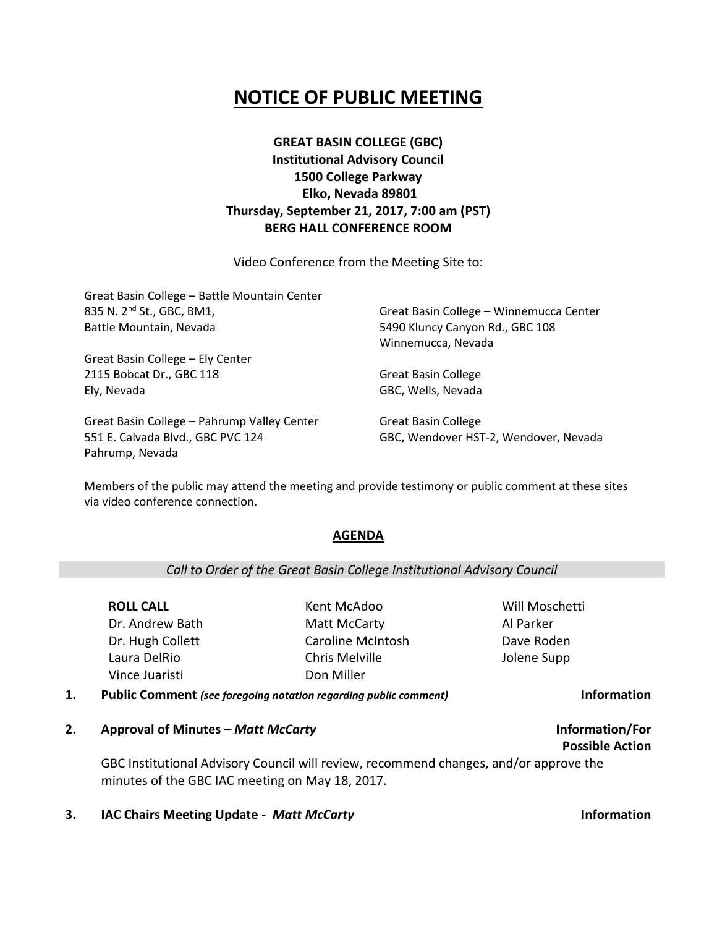## **NOTICE OF PUBLIC MEETING**

### **GREAT BASIN COLLEGE (GBC) Institutional Advisory Council 1500 College Parkway Elko, Nevada 89801 Thursday, September 21, 2017, 7:00 am (PST) BERG HALL CONFERENCE ROOM**

Video Conference from the Meeting Site to:

| Great Basin College - Battle Mountain Center |                                         |
|----------------------------------------------|-----------------------------------------|
| 835 N. 2 <sup>nd</sup> St., GBC, BM1,        | Great Basin College - Winnemucca Center |
| Battle Mountain, Nevada                      | 5490 Kluncy Canyon Rd., GBC 108         |
|                                              | Winnemucca, Nevada                      |
| Great Basin College - Ely Center             |                                         |
| 2115 Bobcat Dr., GBC 118                     | <b>Great Basin College</b>              |
| Ely, Nevada                                  | GBC, Wells, Nevada                      |
| Great Basin College - Pahrump Valley Center  | <b>Great Basin College</b>              |

Members of the public may attend the meeting and provide testimony or public comment at these sites via video conference connection.

### **AGENDA**

### *Call to Order of the Great Basin College Institutional Advisory Council*

**ROLL CALL** Dr. Andrew Bath Dr. Hugh Collett Laura DelRio Vince Juaristi

551 E. Calvada Blvd., GBC PVC 124

Pahrump, Nevada

Kent McAdoo Matt McCarty Caroline McIntosh Chris Melville Don Miller

Will Moschetti Al Parker Dave Roden Jolene Supp

GBC, Wendover HST-2, Wendover, Nevada

- **1. Public Comment** *(see foregoing notation regarding public comment)* **Information**
- **2. Approval of Minutes –** *Matt McCarty* **Information/For**

GBC Institutional Advisory Council will review, recommend changes, and/or approve the minutes of the GBC IAC meeting on May 18, 2017.

**3. IAC Chairs Meeting Update -** *Matt McCarty* **Information**

**Possible Action**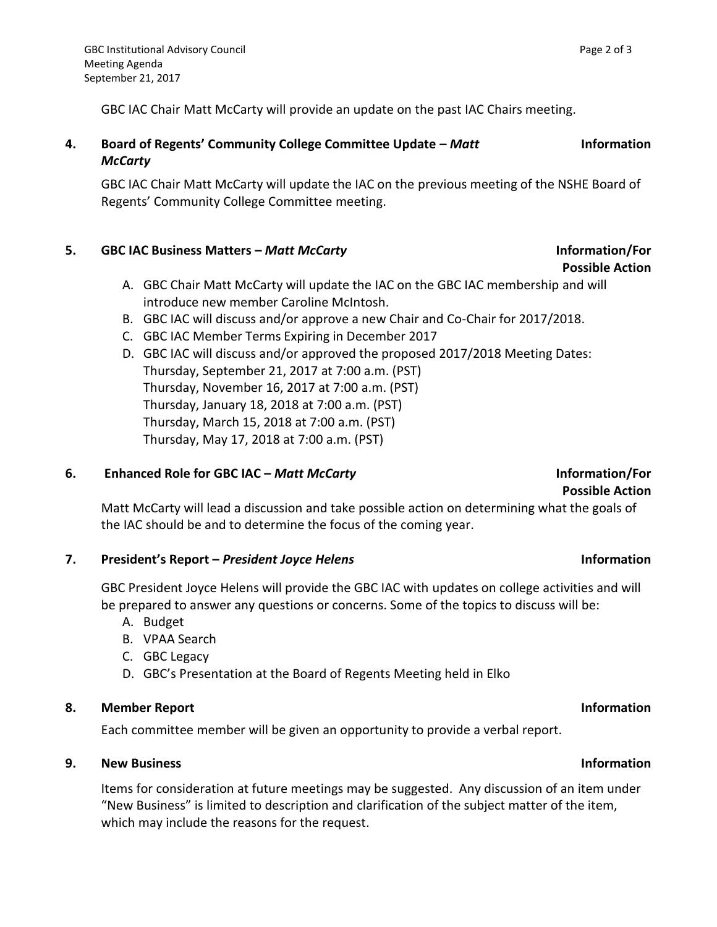GBC IAC Chair Matt McCarty will provide an update on the past IAC Chairs meeting.

**4. Board of Regents' Community College Committee Update –** *Matt McCarty* **Information** 

GBC IAC Chair Matt McCarty will update the IAC on the previous meeting of the NSHE Board of Regents' Community College Committee meeting.

### **5. GBC IAC Business Matters –** *Matt McCarty* **Information/For**

- A. GBC Chair Matt McCarty will update the IAC on the GBC IAC membership and will introduce new member Caroline McIntosh.
- B. GBC IAC will discuss and/or approve a new Chair and Co-Chair for 2017/2018.
- C. GBC IAC Member Terms Expiring in December 2017
- D. GBC IAC will discuss and/or approved the proposed 2017/2018 Meeting Dates: Thursday, September 21, 2017 at 7:00 a.m. (PST) Thursday, November 16, 2017 at 7:00 a.m. (PST) Thursday, January 18, 2018 at 7:00 a.m. (PST) Thursday, March 15, 2018 at 7:00 a.m. (PST) Thursday, May 17, 2018 at 7:00 a.m. (PST)

### **6. Enhanced Role for GBC IAC –** *Matt McCarty* **Information/For**

### **Possible Action** Matt McCarty will lead a discussion and take possible action on determining what the goals of the IAC should be and to determine the focus of the coming year.

### **7. President's Report –** *President Joyce Helens* **Information**

GBC President Joyce Helens will provide the GBC IAC with updates on college activities and will be prepared to answer any questions or concerns. Some of the topics to discuss will be:

- A. Budget
- B. VPAA Search
- C. GBC Legacy
- D. GBC's Presentation at the Board of Regents Meeting held in Elko

### **8. Member Report Information**

Each committee member will be given an opportunity to provide a verbal report.

### **9. New Business Information**

Items for consideration at future meetings may be suggested. Any discussion of an item under "New Business" is limited to description and clarification of the subject matter of the item, which may include the reasons for the request.

# **Possible Action**